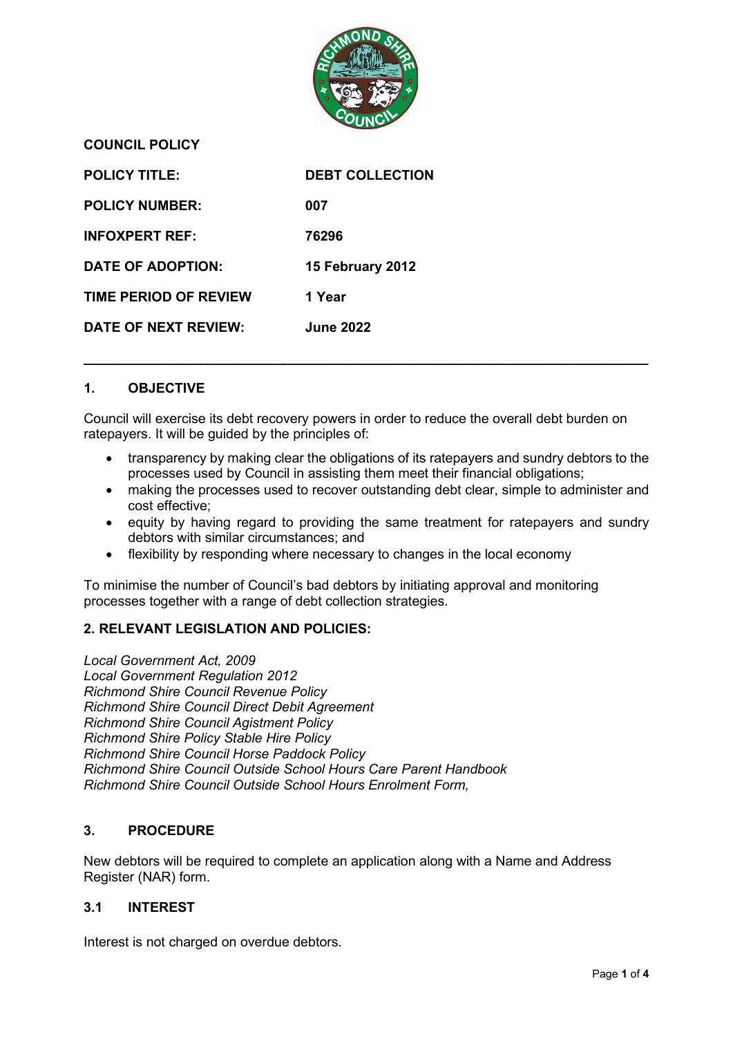

**POLICY TITLE: DEBT COLLECTION POLICY NUMBER: 007 INFOXPERT REF: 76296 DATE OF ADOPTION: 15 February 2012 TIME PERIOD OF REVIEW 1 Year DATE OF NEXT REVIEW: June 2022**

# **1. OBJECTIVE**

**COUNCIL POLICY**

Council will exercise its debt recovery powers in order to reduce the overall debt burden on ratepayers. It will be guided by the principles of:

**\_\_\_\_\_\_\_\_\_\_\_\_\_\_\_\_\_\_\_\_\_\_\_\_\_\_\_\_\_\_\_\_\_\_\_\_\_\_\_\_\_\_\_\_\_\_\_\_\_\_\_\_\_\_\_\_\_\_\_\_\_\_\_\_\_\_\_\_\_\_\_\_\_\_\_**

- transparency by making clear the obligations of its ratepayers and sundry debtors to the processes used by Council in assisting them meet their financial obligations;
- making the processes used to recover outstanding debt clear, simple to administer and cost effective;
- equity by having regard to providing the same treatment for ratepayers and sundry debtors with similar circumstances; and
- flexibility by responding where necessary to changes in the local economy

To minimise the number of Council's bad debtors by initiating approval and monitoring processes together with a range of debt collection strategies.

## **2. RELEVANT LEGISLATION AND POLICIES:**

*Local Government Act, 2009 Local Government Regulation 2012 Richmond Shire Council Revenue Policy Richmond Shire Council Direct Debit Agreement Richmond Shire Council Agistment Policy Richmond Shire Policy Stable Hire Policy Richmond Shire Council Horse Paddock Policy Richmond Shire Council Outside School Hours Care Parent Handbook Richmond Shire Council Outside School Hours Enrolment Form,*

## **3. PROCEDURE**

New debtors will be required to complete an application along with a Name and Address Register (NAR) form.

## **3.1 INTEREST**

Interest is not charged on overdue debtors.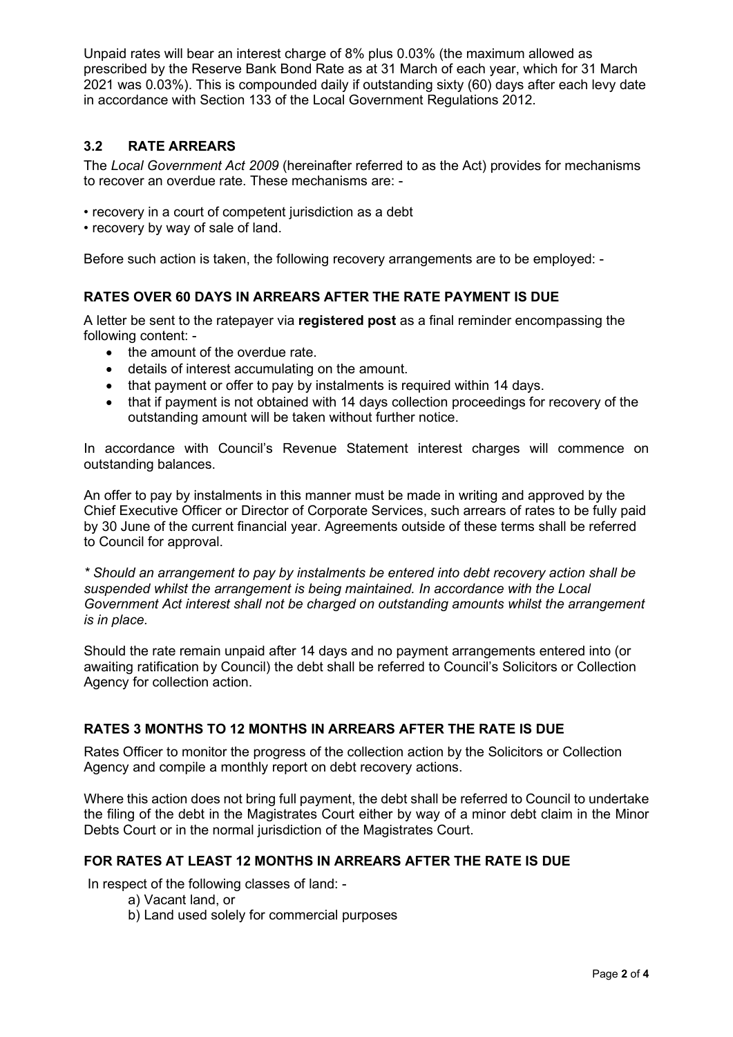Unpaid rates will bear an interest charge of 8% plus 0.03% (the maximum allowed as prescribed by the Reserve Bank Bond Rate as at 31 March of each year, which for 31 March 2021 was 0.03%). This is compounded daily if outstanding sixty (60) days after each levy date in accordance with Section 133 of the Local Government Regulations 2012.

# **3.2 RATE ARREARS**

The *Local Government Act 2009* (hereinafter referred to as the Act) provides for mechanisms to recover an overdue rate. These mechanisms are: -

• recovery in a court of competent jurisdiction as a debt

• recovery by way of sale of land.

Before such action is taken, the following recovery arrangements are to be employed: -

## **RATES OVER 60 DAYS IN ARREARS AFTER THE RATE PAYMENT IS DUE**

A letter be sent to the ratepayer via **registered post** as a final reminder encompassing the following content: -

- the amount of the overdue rate.
- details of interest accumulating on the amount.
- that payment or offer to pay by instalments is required within 14 days.
- that if payment is not obtained with 14 days collection proceedings for recovery of the outstanding amount will be taken without further notice.

In accordance with Council's Revenue Statement interest charges will commence on outstanding balances.

An offer to pay by instalments in this manner must be made in writing and approved by the Chief Executive Officer or Director of Corporate Services, such arrears of rates to be fully paid by 30 June of the current financial year. Agreements outside of these terms shall be referred to Council for approval.

*\* Should an arrangement to pay by instalments be entered into debt recovery action shall be suspended whilst the arrangement is being maintained. In accordance with the Local Government Act interest shall not be charged on outstanding amounts whilst the arrangement is in place.*

Should the rate remain unpaid after 14 days and no payment arrangements entered into (or awaiting ratification by Council) the debt shall be referred to Council's Solicitors or Collection Agency for collection action.

## **RATES 3 MONTHS TO 12 MONTHS IN ARREARS AFTER THE RATE IS DUE**

Rates Officer to monitor the progress of the collection action by the Solicitors or Collection Agency and compile a monthly report on debt recovery actions.

Where this action does not bring full payment, the debt shall be referred to Council to undertake the filing of the debt in the Magistrates Court either by way of a minor debt claim in the Minor Debts Court or in the normal jurisdiction of the Magistrates Court.

## **FOR RATES AT LEAST 12 MONTHS IN ARREARS AFTER THE RATE IS DUE**

In respect of the following classes of land: -

- a) Vacant land, or
- b) Land used solely for commercial purposes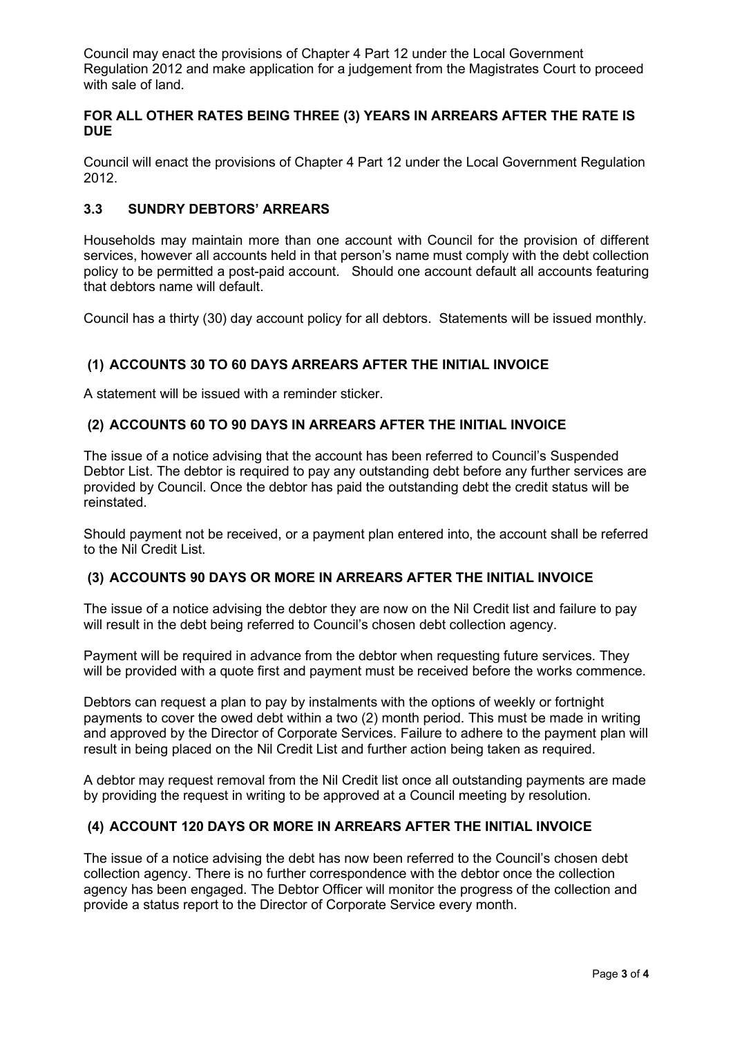Council may enact the provisions of Chapter 4 Part 12 under the Local Government Regulation 2012 and make application for a judgement from the Magistrates Court to proceed with sale of land*.*

## **FOR ALL OTHER RATES BEING THREE (3) YEARS IN ARREARS AFTER THE RATE IS DUE**

Council will enact the provisions of Chapter 4 Part 12 under the Local Government Regulation 2012.

# **3.3 SUNDRY DEBTORS' ARREARS**

Households may maintain more than one account with Council for the provision of different services, however all accounts held in that person's name must comply with the debt collection policy to be permitted a post-paid account. Should one account default all accounts featuring that debtors name will default.

Council has a thirty (30) day account policy for all debtors. Statements will be issued monthly.

# **(1) ACCOUNTS 30 TO 60 DAYS ARREARS AFTER THE INITIAL INVOICE**

A statement will be issued with a reminder sticker.

## **(2) ACCOUNTS 60 TO 90 DAYS IN ARREARS AFTER THE INITIAL INVOICE**

The issue of a notice advising that the account has been referred to Council's Suspended Debtor List. The debtor is required to pay any outstanding debt before any further services are provided by Council. Once the debtor has paid the outstanding debt the credit status will be reinstated.

Should payment not be received, or a payment plan entered into, the account shall be referred to the Nil Credit List.

## **(3) ACCOUNTS 90 DAYS OR MORE IN ARREARS AFTER THE INITIAL INVOICE**

The issue of a notice advising the debtor they are now on the Nil Credit list and failure to pay will result in the debt being referred to Council's chosen debt collection agency.

Payment will be required in advance from the debtor when requesting future services. They will be provided with a quote first and payment must be received before the works commence.

Debtors can request a plan to pay by instalments with the options of weekly or fortnight payments to cover the owed debt within a two (2) month period. This must be made in writing and approved by the Director of Corporate Services. Failure to adhere to the payment plan will result in being placed on the Nil Credit List and further action being taken as required.

A debtor may request removal from the Nil Credit list once all outstanding payments are made by providing the request in writing to be approved at a Council meeting by resolution.

## **(4) ACCOUNT 120 DAYS OR MORE IN ARREARS AFTER THE INITIAL INVOICE**

The issue of a notice advising the debt has now been referred to the Council's chosen debt collection agency. There is no further correspondence with the debtor once the collection agency has been engaged. The Debtor Officer will monitor the progress of the collection and provide a status report to the Director of Corporate Service every month.